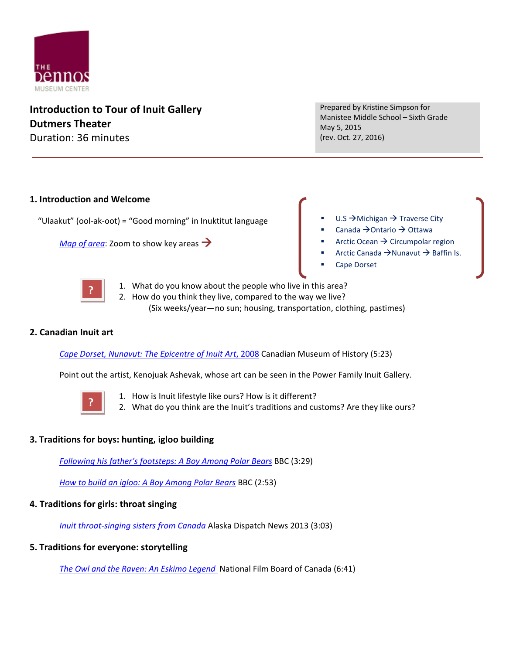

**Introduction to Tour of Inuit Gallery Dutmers Theater** Duration: 36 minutes

Prepared by Kristine Simpson for Manistee Middle School – Sixth Grade May 5, 2015 (rev. Oct. 27, 2016)

## **1. Introduction and Welcome**

"Ulaakut" (ool-ak-oot) = "Good morning" in Inuktitut language

*[Map of area](http://www.bing.com/mapspreview?FORM=Z9LH2)*: Zoom to show key areas  $\rightarrow$ 

- $U.S \rightarrow$ Michigan  $\rightarrow$  Traverse City
- Canada  $\rightarrow$  Ontario  $\rightarrow$  Ottawa
- Arctic Ocean  $\rightarrow$  Circumpolar region
- Arctic Canada  $\rightarrow$  Nunavut  $\rightarrow$  Baffin Is.
- Cape Dorset



1. What do you know about the people who live in this area? 2. How do you think they live, compared to the way we live? (Six weeks/year—no sun; housing, transportation, clothing, pastimes)

## **2. Canadian Inuit art**

*[Cape Dorset, Nunavut: The Epicentre of Inuit Art](https://www.youtube.com/watch?v=o54y4S-2NHc)*, 2008 Canadian Museum of History (5:23)

Point out the artist, Kenojuak Ashevak, whose art can be seen in the Power Family Inuit Gallery.



- 1. How is Inuit lifestyle like ours? How is it different?
- 2. What do you think are the Inuit's traditions and customs? Are they like ours?

## **3. Traditions for boys: hunting, igloo building**

*Following his father's footsteps: A B[oy Among Polar Bears](https://www.youtube.com/watch?v=9xLS_H2B6hg)* BBC (3:29)

*[How to build an igloo: A Boy Among Polar Bears](https://www.youtube.com/watch?v=R-x5QOSqP3E)* BBC (2:53)

## **4. Traditions for girls: throat singing**

*[Inuit throat-singing sisters from Canada](https://www.youtube.com/watch?v=DLMlkjnYe0U)* Alaska Dispatch News 2013 (3:03)

## **5. Traditions for everyone: storytelling**

*[The Owl and the Raven: An Eskimo Legend](https://www.youtube.com/watch?v=3xhWWdGm8fE)* National Film Board of Canada (6:41)